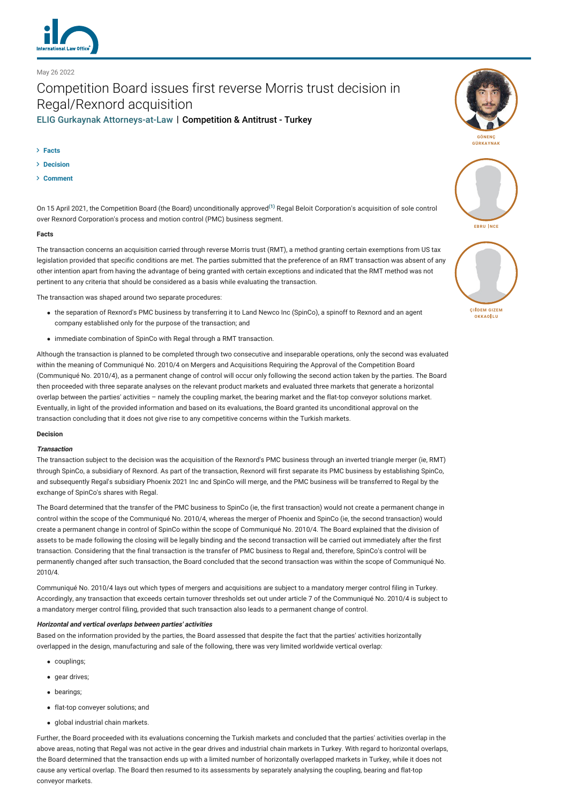

# Competition Board issues first reverse Morris trust decision in Regal/Rexnord acquisition [ELIG Gurkaynak Attorneys-at-Law](http://lexology-legacy.lexology.svc.cluster.local/contributors/25827) | Competition & Antitrust - Turkey

**[Facts](#page-0-0)**

May 26 2022

- **[Decision](#page-0-1)**
- **[Comment](#page-1-0)**

On 15 April 2021, the Competition Board (the Board) unconditionally approved**[\(1\)](#page-1-1)** Regal Beloit Corporation's acquisition of sole control over Rexnord Corporation's process and motion control (PMC) business segment.

## <span id="page-0-0"></span>**Facts**

The transaction concerns an acquisition carried through reverse Morris trust (RMT), a method granting certain exemptions from US tax legislation provided that specific conditions are met. The parties submitted that the preference of an RMT transaction was absent of any other intention apart from having the advantage of being granted with certain exceptions and indicated that the RMT method was not pertinent to any criteria that should be considered as a basis while evaluating the transaction.

The transaction was shaped around two separate procedures:

- the separation of Rexnord's PMC business by transferring it to Land Newco Inc (SpinCo), a spinoff to Rexnord and an agent company established only for the purpose of the transaction; and
- immediate combination of SpinCo with Regal through a RMT transaction.

Although the transaction is planned to be completed through two consecutive and inseparable operations, only the second was evaluated within the meaning of Communiqué No. 2010/4 on Mergers and Acquisitions Requiring the Approval of the Competition Board (Communiqué No. 2010/4), as a permanent change of control will occur only following the second action taken by the parties. The Board then proceeded with three separate analyses on the relevant product markets and evaluated three markets that generate a horizontal overlap between the parties' activities – namely the coupling market, the bearing market and the flat-top conveyor solutions market. Eventually, in light of the provided information and based on its evaluations, the Board granted its unconditional approval on the transaction concluding that it does not give rise to any competitive concerns within the Turkish markets.

# <span id="page-0-1"></span>**Decision**

## **Transaction**

The transaction subject to the decision was the acquisition of the Rexnord's PMC business through an inverted triangle merger (ie, RMT) through SpinCo, a subsidiary of Rexnord. As part of the transaction, Rexnord will first separate its PMC business by establishing SpinCo, and subsequently Regal's subsidiary Phoenix 2021 Inc and SpinCo will merge, and the PMC business will be transferred to Regal by the exchange of SpinCo's shares with Regal.

The Board determined that the transfer of the PMC business to SpinCo (ie, the first transaction) would not create a permanent change in control within the scope of the Communiqué No. 2010/4, whereas the merger of Phoenix and SpinCo (ie, the second transaction) would create a permanent change in control of SpinCo within the scope of Communiqué No. 2010/4. The Board explained that the division of assets to be made following the closing will be legally binding and the second transaction will be carried out immediately after the first transaction. Considering that the final transaction is the transfer of PMC business to Regal and, therefore, SpinCo's control will be permanently changed after such transaction, the Board concluded that the second transaction was within the scope of Communiqué No. 2010/4.

Communiqué No. 2010/4 lays out which types of mergers and acquisitions are subject to a mandatory merger control filing in Turkey. Accordingly, any transaction that exceeds certain turnover thresholds set out under article 7 of the Communiqué No. 2010/4 is subject to a mandatory merger control filing, provided that such transaction also leads to a permanent change of control.

# **Horizontal and vertical overlaps between parties' activities**

Based on the information provided by the parties, the Board assessed that despite the fact that the parties' activities horizontally overlapped in the design, manufacturing and sale of the following, there was very limited worldwide vertical overlap:

- couplings;
- gear drives:
- bearings;
- flat-top convever solutions: and
- global industrial chain markets.

Further, the Board proceeded with its evaluations concerning the Turkish markets and concluded that the parties' activities overlap in the above areas, noting that Regal was not active in the gear drives and industrial chain markets in Turkey. With regard to horizontal overlaps, the Board determined that the transaction ends up with a limited number of horizontally overlapped markets in Turkey, while it does not cause any vertical overlap. The Board then resumed to its assessments by separately analysing the coupling, bearing and flat-top conveyor markets.